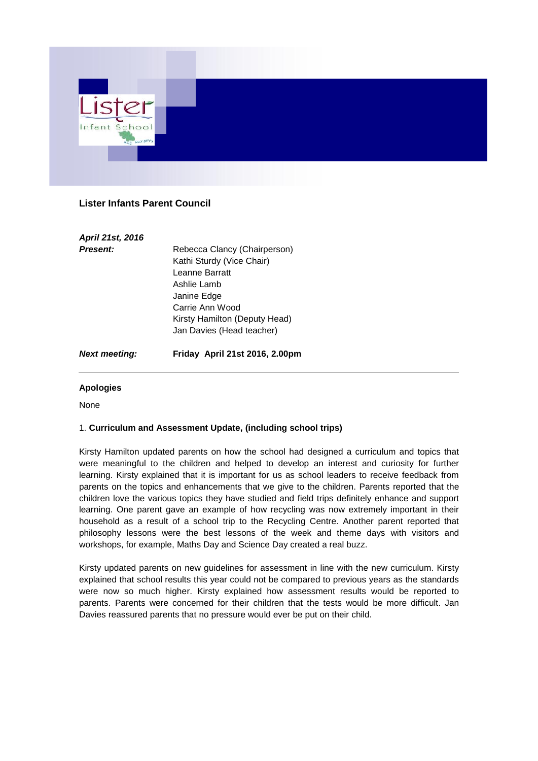

# **Lister Infants Parent Council**

| April 21st, 2016 |                               |
|------------------|-------------------------------|
| <b>Present:</b>  | Rebecca Clancy (Chairperson)  |
|                  | Kathi Sturdy (Vice Chair)     |
|                  | Leanne Barratt                |
|                  | Ashlie Lamb                   |
|                  | Janine Edge                   |
|                  | Carrie Ann Wood               |
|                  | Kirsty Hamilton (Deputy Head) |
|                  | Jan Davies (Head teacher)     |

*Next meeting:* **Friday April 21st 2016, 2.00pm**

### **Apologies**

None

### 1. **Curriculum and Assessment Update, (including school trips)**

Kirsty Hamilton updated parents on how the school had designed a curriculum and topics that were meaningful to the children and helped to develop an interest and curiosity for further learning. Kirsty explained that it is important for us as school leaders to receive feedback from parents on the topics and enhancements that we give to the children. Parents reported that the children love the various topics they have studied and field trips definitely enhance and support learning. One parent gave an example of how recycling was now extremely important in their household as a result of a school trip to the Recycling Centre. Another parent reported that philosophy lessons were the best lessons of the week and theme days with visitors and workshops, for example, Maths Day and Science Day created a real buzz.

Kirsty updated parents on new guidelines for assessment in line with the new curriculum. Kirsty explained that school results this year could not be compared to previous years as the standards were now so much higher. Kirsty explained how assessment results would be reported to parents. Parents were concerned for their children that the tests would be more difficult. Jan Davies reassured parents that no pressure would ever be put on their child.